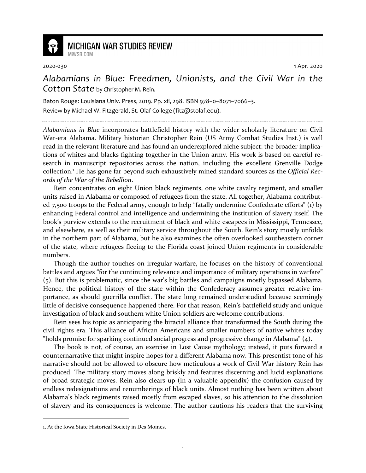

## **MICHIGAN WAR STUDIES REVIEW** MiWSR COM

2020-030 1 Apr. 2020

*Alabamians in Blue: Freedmen, Unionists, and the Civil War in the Cotton State* by Christopher M. Rein.

Baton Rouge: Louisiana Univ. Press, 2019. Pp. xii, 298. ISBN 978–0–8071–7066–3. Review by Michael W. Fitzgerald, St. Olaf College (fitz@stolaf.edu).

*Alabamians in Blue* incorporates battlefield history with the wider scholarly literature on Civil War-era Alabama. Military historian Christopher Rein (US Army Combat Studies Inst.) is well read in the relevant literature and has found an underexplored niche subject: the broader implications of whites and blacks fighting together in the Union army. His work is based on careful research in manuscript repositories across the nation, including the excellent Grenville Dodge collection.<sup>1</sup> He has gone far beyond such exhaustively mined standard sources as the *Official Records of the War of the Rebellion*.

Rein concentrates on eight Union black regiments, one white cavalry regiment, and smaller units raised in Alabama or composed of refugees from the state. All together, Alabama contributed 7,500 troops to the Federal army, enough to help "fatally undermine Confederate efforts" (1) by enhancing Federal control and intelligence and undermining the institution of slavery itself. The book's purview extends to the recruitment of black and white escapees in Mississippi, Tennessee, and elsewhere, as well as their military service throughout the South. Rein's story mostly unfolds in the northern part of Alabama, but he also examines the often overlooked southeastern corner of the state, where refugees fleeing to the Florida coast joined Union regiments in considerable numbers.

Though the author touches on irregular warfare, he focuses on the history of conventional battles and argues "for the continuing relevance and importance of military operations in warfare" (5). But this is problematic, since the war's big battles and campaigns mostly bypassed Alabama. Hence, the political history of the state within the Confederacy assumes greater relative importance, as should guerrilla conflict. The state long remained understudied because seemingly little of decisive consequence happened there. For that reason, Rein's battlefield study and unique investigation of black and southern white Union soldiers are welcome contributions.

Rein sees his topic as anticipating the biracial alliance that transformed the South during the civil rights era. This alliance of African Americans and smaller numbers of native whites today "holds promise for sparking continued social progress and progressive change in Alabama" (4).

The book is not, of course, an exercise in Lost Cause mythology; instead, it puts forward a counternarrative that might inspire hopes for a different Alabama now. This presentist tone of his narrative should not be allowed to obscure how meticulous a work of Civil War history Rein has produced. The military story moves along briskly and features discerning and lucid explanations of broad strategic moves. Rein also clears up (in a valuable appendix) the confusion caused by endless redesignations and renumberings of black units. Almost nothing has been written about Alabama's black regiments raised mostly from escaped slaves, so his attention to the dissolution of slavery and its consequences is welcome. The author cautions his readers that the surviving

<sup>1.</sup> At the Iowa State Historical Society in Des Moines.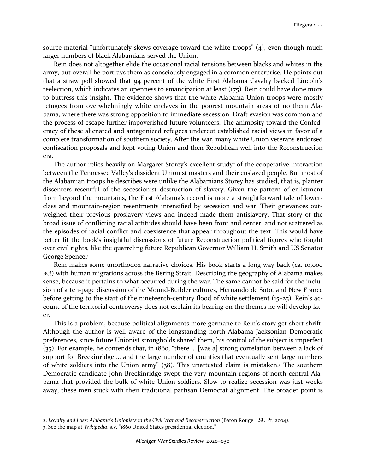source material "unfortunately skews coverage toward the white troops" (4), even though much larger numbers of black Alabamians served the Union.

Rein does not altogether elide the occasional racial tensions between blacks and whites in the army, but overall he portrays them as consciously engaged in a common enterprise. He points out that a straw poll showed that 94 percent of the white First Alabama Cavalry backed Lincoln's reelection, which indicates an openness to emancipation at least (175). Rein could have done more to buttress this insight. The evidence shows that the white Alabama Union troops were mostly refugees from overwhelmingly white enclaves in the poorest mountain areas of northern Alabama, where there was strong opposition to immediate secession. Draft evasion was common and the process of escape further impoverished future volunteers. The animosity toward the Confederacy of these alienated and antagonized refugees undercut established racial views in favor of a complete transformation of southern society. After the war, many white Union veterans endorsed confiscation proposals and kept voting Union and then Republican well into the Reconstruction era.

The author relies heavily on Margaret Storey's excellent study<sup>2</sup> of the cooperative interaction between the Tennessee Valley's dissident Unionist masters and their enslaved people. But most of the Alabamian troops he describes were unlike the Alabamians Storey has studied, that is, planter dissenters resentful of the secessionist destruction of slavery. Given the pattern of enlistment from beyond the mountains, the First Alabama's record is more a straightforward tale of lowerclass and mountain-region resentments intensified by secession and war. Their grievances outweighed their previous proslavery views and indeed made them antislavery. That story of the broad issue of conflicting racial attitudes should have been front and center, and not scattered as the episodes of racial conflict and coexistence that appear throughout the text. This would have better fit the book's insightful discussions of future Reconstruction political figures who fought over civil rights, like the quarreling future Republican Governor William H. Smith and US Senator George Spencer

Rein makes some unorthodox narrative choices. His book starts a long way back (ca. 10,000 BC!) with human migrations across the Bering Strait. Describing the geography of Alabama makes sense, because it pertains to what occurred during the war. The same cannot be said for the inclusion of a ten-page discussion of the Mound-Builder cultures, Hernando de Soto, and New France before getting to the start of the nineteenth-century flood of white settlement (15–25). Rein's account of the territorial controversy does not explain its bearing on the themes he will develop later.

This is a problem, because political alignments more germane to Rein's story get short shrift. Although the author is well aware of the longstanding north Alabama Jacksonian Democratic preferences, since future Unionist strongholds shared them, his control of the subject is imperfect (35). For example, he contends that, in 1860, "there … [was a] strong correlation between a lack of support for Breckinridge … and the large number of counties that eventually sent large numbers of white soldiers into the Union army" (38). This unattested claim is mistaken.<sup>3</sup> The southern Democratic candidate John Breckinridge swept the very mountain regions of north central Alabama that provided the bulk of white Union soldiers. Slow to realize secession was just weeks away, these men stuck with their traditional partisan Democrat alignment. The broader point is

<sup>2.</sup> *Loyalty and Loss: Alabama's Unionists in the Civil War and Reconstruction* (Baton Rouge: LSU Pr, 2004).

<sup>3.</sup> See the map at *Wikipedia*, s.v. "1860 United States presidential election."